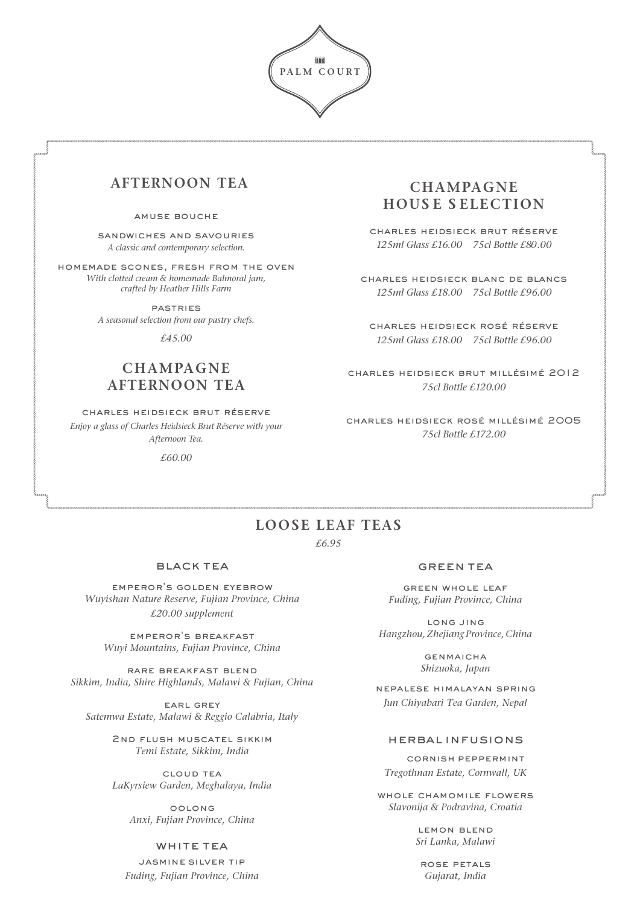

# **AFTERNOON TEA**

#### amuse bouche

sandwiches and savouries *A classic and contemporary selection.*

homemade scones, fresh from the oven *With clotted cream & homemade Balmoral jam, crafted by Heather Hills Farm*

> **PASTRIES** *A seasonal selection from our pastry chefs.*

> > *£45.00*

## **CHAMPAGNE AFTERNOON TEA**

charles heidsieck brut réserve *Enjoy a glass of Charles Heidsieck Brut Réserve with your Afternoon Tea.*

*£60.00*

### **CHAMPAGNE HOUS E S ELECTION**

charles heidsieck brut réserve *125ml Glass £16.00 75cl Bottle £8*0*.00*

charles heidsieck blanc de blancs *125ml Glass £18.00 75cl Bottle £96.00* 

charles heidsieck rosé réserve *125ml Glass £18.00 75cl Bottle £96.00*

charles heidsieck brut millésimé 2012 *75cl Bottle £120.00*

charles heidsieck rosé millésimé 2005 *75cl Bottle £172.00* 

# **LOOSE LEAF TEAS**

*£6.95* 

### black tea

emperor's golden eyebrow *Wuyishan Nature Reserve, Fujian Province, China £20.00 supplement*

emperor's breakfast *Wuyi Mountains, Fujian Province, China*

rare breakfast blend *Sikkim, India, Shire Highlands, Malawi & Fujian, China*

earl grey *Satemwa Estate, Malawi & Reggio Calabria, Italy*

> 2nd flush muscatel sikkim *Temi Estate, Sikkim, India*

> cloud tea *LaKyrsiew Garden, Meghalaya, India*

> > oolong *Anxi, Fujian Province, China*

### WHITE TEA

jasmine silver tip *Fuding, Fujian Province, China*

#### green tea

green whole leaf *Fuding, Fujian Province, China*

long jing *Hangzhou,Zhejiang Province, China*

> **GENMAICHA** *Shizuoka, Japan*

nepalese himalayan spring *Jun Chiyabari Tea Garden, Nepal*

#### herbal infusions

cornish peppermint *Tregothnan Estate, Cornwall, UK* 

whole chamomile flowers *Slavonija & Podravina, Croatia*

> lemon blend *Sri Lanka, Malawi*

rose petals *Gujarat, India*